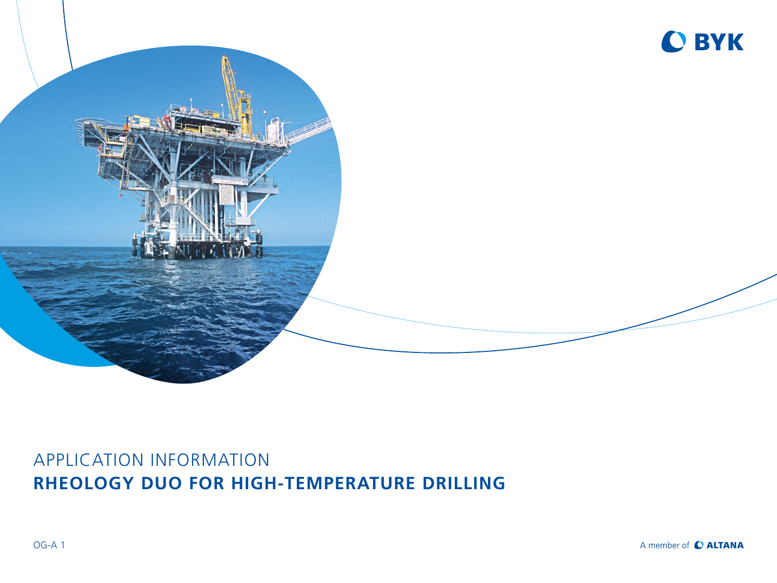



## APPLICATION INFORMATION **RHEOLOGY DUO FOR HIGH-TEMPERATURE DRILLING**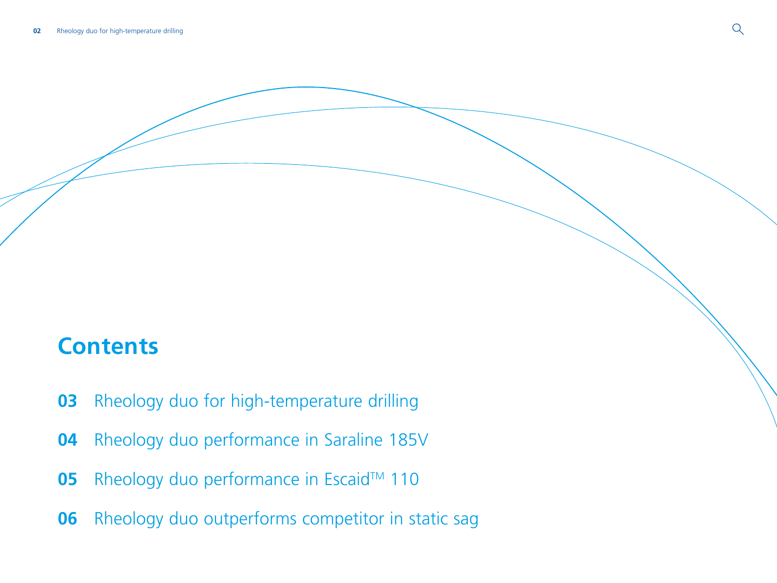# **Contents**

- [Rheology duo for high-temperature drilling](#page-2-0)
- [Rheology duo performance in Saraline 185V](#page-3-0)
- Rheology duo performance in Escaid™ 110
- [Rheology duo outperforms competitor in static sag](#page-5-0)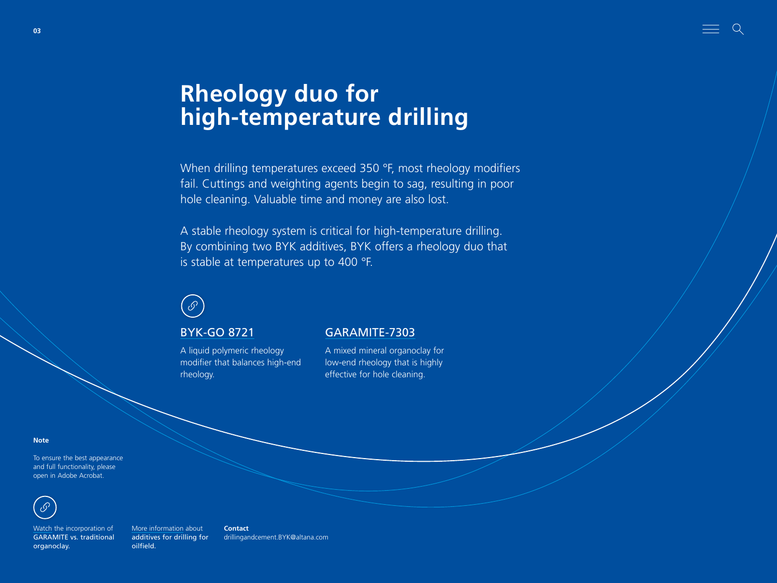# **Rheology duo for high-temperature drilling**

When drilling temperatures exceed 350 °F, most rheology modifiers fail. Cuttings and weighting agents begin to sag, resulting in poor hole cleaning. Valuable time and money are also lost.

A stable rheology system is critical for high-temperature drilling. By combining two BYK additives, BYK offers a rheology duo that is stable at temperatures up to 400 °F.



A liquid polymeric rheology modifier that balances high-end rheology.

#### [BYK-GO 8721](https://www.byk.com/en/products/additives-by-name/byk-go-8721) [GARAMITE-7303](https://www.byk.com/en/products/additives-by-name/garamite-7303)

A mixed mineral organoclay for low-end rheology that is highly effective for hole cleaning.

**Note**

To ensure the best appearance and full functionality, please open in Adobe Acrobat.



[Watch](https://youtu.be/Ke1cfj5V4d8) the incorporation of GARAMITE vs. traditional organoclay.

[More information](https://www.byk.com/en/markets/drilling-for-oilfield%20) about additives for drilling for oilfield. **Contact** [drillingandcement.BYK@altana.com](mailto:drillingandcement.BYK%40altana.com?subject=)

<span id="page-2-0"></span>**03**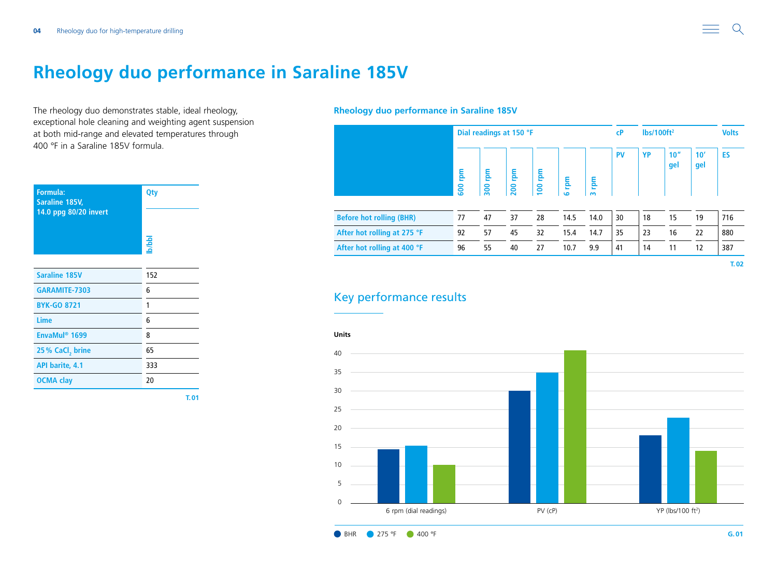### <span id="page-3-0"></span>**Rheology duo performance in Saraline 185V**

The rheology duo demonstrates stable, ideal rheology, exceptional hole cleaning and weighting agent suspension at both mid-range and elevated temperatures through 400 °F in a Saraline 185V formula.

| Formula:<br>Saraline 185V,<br>14.0 ppg 80/20 invert | Qty   |
|-----------------------------------------------------|-------|
|                                                     | b/bbl |
| <b>Saraline 185V</b>                                | 152   |
| <b>GARAMITE-7303</b>                                | 6     |
| <b>BYK-GO 8721</b>                                  | 1     |
| Lime                                                | 6     |
| EnvaMul <sup>®</sup> 1699                           | 8     |
| 25% CaCl, brine                                     | 65    |
| <b>API barite, 4.1</b>                              | 333   |
| <b>OCMA clay</b>                                    | 20    |
|                                                     | T.01  |

**Rheology duo performance in Saraline 185V**

|                                 |            | Dial readings at 150 °F |            |            |                      |               | C <sub>P</sub> | $\frac{1}{2}$ lbs/100ft <sup>2</sup> | <b>Volts</b> |            |           |
|---------------------------------|------------|-------------------------|------------|------------|----------------------|---------------|----------------|--------------------------------------|--------------|------------|-----------|
|                                 | rpm<br>600 | mal<br>300              | mal<br>200 | rpm<br>100 | mq<br>$\overline{a}$ | mdu<br>$\sim$ | <b>PV</b>      | <b>YP</b>                            | 10''<br>gel  | 10'<br>gel | <b>ES</b> |
| <b>Before hot rolling (BHR)</b> | 77         | 47                      | 37         | 28         | 14.5                 | 14.0          | 30             | 18                                   | 15           | 19         | 716       |
| After hot rolling at 275 °F     | 92         | 57                      | 45         | 32         | 15.4                 | 14.7          | 35             | 23                                   | 16           | 22         | 880       |
| After hot rolling at 400 °F     | 96         | 55                      | 40         | 27         | 10.7                 | 9.9           | 41             | 14                                   | 11           | 12         | 387       |

### Key performance results



 $\Omega$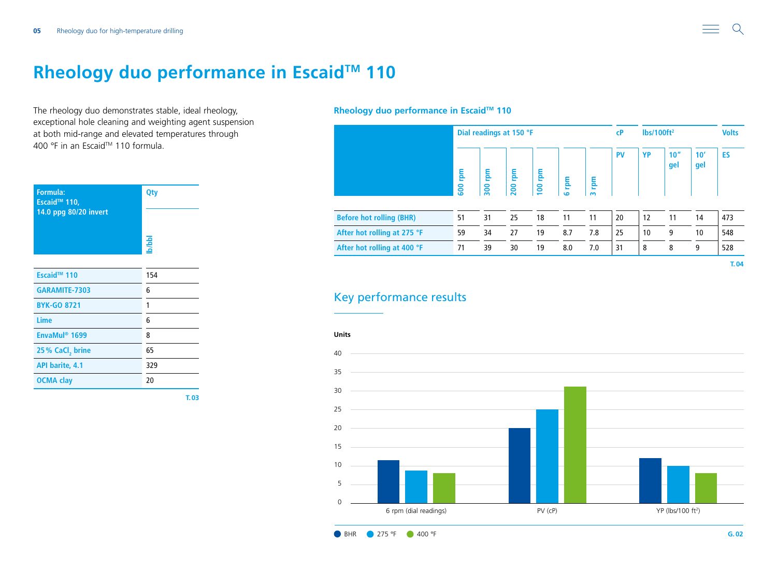### <span id="page-4-0"></span>**Rheology duo performance in Escaid™ 110**

The rheology duo demonstrates stable, ideal rheology, exceptional hole cleaning and weighting agent suspension at both mid-range and elevated temperatures through 400 °F in an Escaid™ 110 formula.

| Formula:<br>Escaid <sup>™</sup> 110,<br>14.0 ppg 80/20 invert | Qty              |  |  |  |  |
|---------------------------------------------------------------|------------------|--|--|--|--|
|                                                               | <b>Independi</b> |  |  |  |  |
| Escaid <sup>™</sup> 110                                       | 154              |  |  |  |  |
| GARAMITE-7303                                                 | 6                |  |  |  |  |
| <b>BYK-GO 8721</b>                                            | 1                |  |  |  |  |
| Lime                                                          | 6                |  |  |  |  |
| EnvaMul <sup>®</sup> 1699                                     | 8                |  |  |  |  |
| 25% CaCl, brine                                               | 65               |  |  |  |  |
| <b>API barite, 4.1</b>                                        | 329              |  |  |  |  |
| <b>OCMA</b> clay                                              | 20               |  |  |  |  |
|                                                               | T.03             |  |  |  |  |

#### **Rheology duo performance in Escaid™ 110**

|                                 |                 | Dial readings at 150 °F |            |            |                              |              |           | lbs/100ft <sup>2</sup> | <b>Volts</b>            |            |           |
|---------------------------------|-----------------|-------------------------|------------|------------|------------------------------|--------------|-----------|------------------------|-------------------------|------------|-----------|
|                                 | <b>E</b><br>600 | <b>E</b><br>300         | rpm<br>200 | rpm<br>100 | <u>rpm</u><br>$\overline{a}$ | mg<br>$\sim$ | <b>PV</b> | YP                     | 10 <sup>''</sup><br>gel | 10'<br>gel | <b>ES</b> |
| <b>Before hot rolling (BHR)</b> | 51              | 31                      | 25         | 18         | 11                           | 11           | 20        | 12                     | 11                      | 14         | 473       |
| After hot rolling at 275 °F     | 59              | 34                      | 27         | 19         | 8.7                          | 7.8          | 25        | 10                     | 9                       | 10         | 548       |
| After hot rolling at 400 °F     | 71              | 39                      | 30         | 19         | 8.0                          | 7.0          | 31        | 8                      | 8                       | 9          | 528       |

### Key performance results



 $\Omega$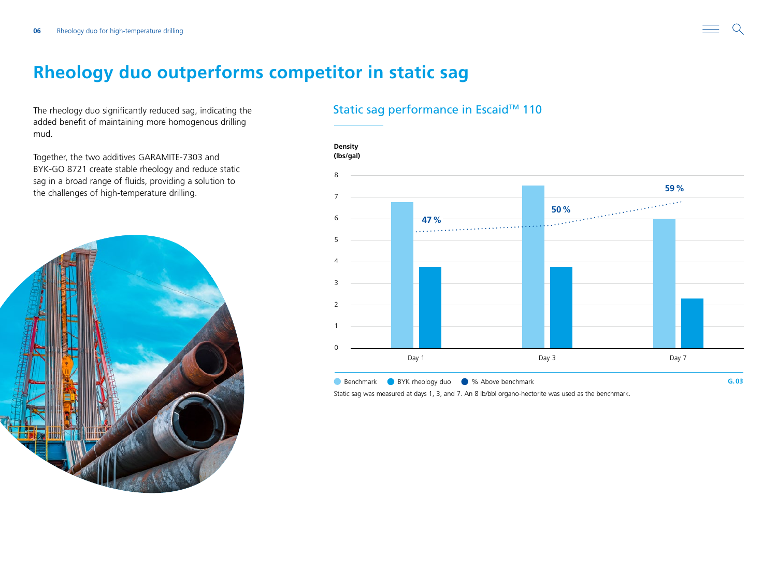### <span id="page-5-0"></span>**Rheology duo outperforms competitor in static sag**

The rheology duo significantly reduced sag, indicating the added benefit of maintaining more homogenous drilling mud.

Together, the two additives GARAMITE-7303 and BYK-GO 8721 create stable rheology and reduce static sag in a broad range of fluids, providing a solution to the challenges of high-temperature drilling.



### Static sag performance in Escaid™ 110

**Density**



Static sag was measured at days 1, 3, and 7. An 8 lb/bbl organo-hectorite was used as the benchmark.